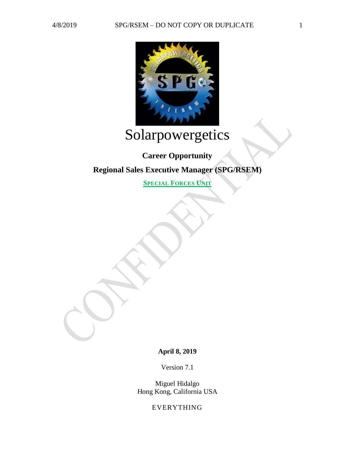

# Solarpowergetics

## **Career Opportunity Regional Sales Executive Manager (SPG/RSEM)**

**SPECIAL FORCES UNIT**

**April 8, 2019**

Version 7.1

Miguel Hidalgo Hong Kong, California USA

EVERYTHING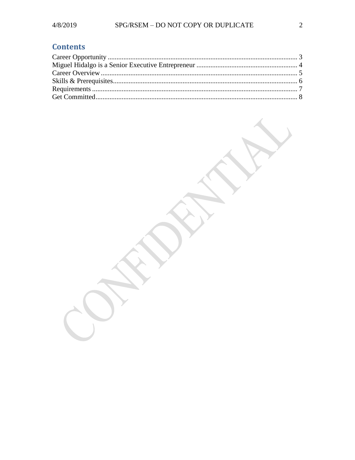## **Contents**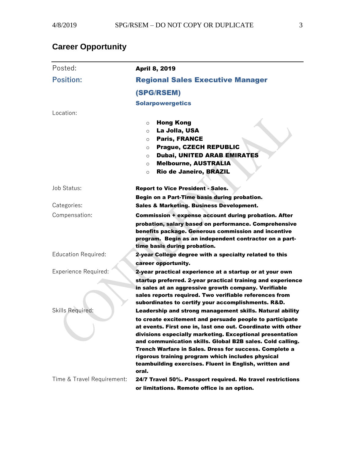## <span id="page-2-0"></span>**Career Opportunity**

| Posted:                     | <b>April 8, 2019</b>                                                                                                                                                                                                                                                                                                                                                                                                                                                                                  |
|-----------------------------|-------------------------------------------------------------------------------------------------------------------------------------------------------------------------------------------------------------------------------------------------------------------------------------------------------------------------------------------------------------------------------------------------------------------------------------------------------------------------------------------------------|
| <b>Position:</b>            | <b>Regional Sales Executive Manager</b>                                                                                                                                                                                                                                                                                                                                                                                                                                                               |
|                             | (SPG/RSEM)                                                                                                                                                                                                                                                                                                                                                                                                                                                                                            |
|                             | <b>Solarpowergetics</b>                                                                                                                                                                                                                                                                                                                                                                                                                                                                               |
| Location:                   |                                                                                                                                                                                                                                                                                                                                                                                                                                                                                                       |
|                             | <b>Hong Kong</b><br>$\circ$<br>La Jolla, USA<br>O<br><b>Paris, FRANCE</b><br>O<br><b>Prague, CZECH REPUBLIC</b><br>$\circ$<br>Dubai, UNITED ARAB EMIRATES<br>O<br><b>Melbourne, AUSTRALIA</b><br>$\circ$<br>Rio de Janeiro, BRAZIL<br>$\circ$                                                                                                                                                                                                                                                         |
| Job Status:                 | <b>Report to Vice President - Sales.</b>                                                                                                                                                                                                                                                                                                                                                                                                                                                              |
|                             | Begin on a Part-Time basis during probation.                                                                                                                                                                                                                                                                                                                                                                                                                                                          |
| Categories:                 | <b>Sales &amp; Marketing. Business Development.</b>                                                                                                                                                                                                                                                                                                                                                                                                                                                   |
| Compensation:               | <b>Commission + expense account during probation. After</b><br>probation, salary based on performance. Comprehensive<br>benefits package. Generous commission and incentive<br>program. Begin as an independent contractor on a part-<br>time basis during probation.                                                                                                                                                                                                                                 |
| <b>Education Required:</b>  | 2-year College degree with a specialty related to this                                                                                                                                                                                                                                                                                                                                                                                                                                                |
| <b>Experience Required:</b> | career opportunity.<br>2-year practical experience at a startup or at your own<br>startup preferred. 2-year practical training and experience<br>in sales at an aggressive growth company. Verifiable<br>sales reports required. Two verifiable references from<br>subordinates to certify your accomplishments. R&D.                                                                                                                                                                                 |
| Skills Required:            | Leadership and strong management skills. Natural ability<br>to create excitement and persuade people to participate<br>at events. First one in, last one out. Coordinate with other<br>divisions especially marketing. Exceptional presentation<br>and communication skills. Global B2B sales. Cold calling.<br><b>Trench Warfare in Sales. Dress for success. Complete a</b><br>rigorous training program which includes physical<br>teambuilding exercises. Fluent in English, written and<br>oral. |
| Time & Travel Requirement:  | 24/7 Travel 50%. Passport required. No travel restrictions<br>or limitations. Remote office is an option.                                                                                                                                                                                                                                                                                                                                                                                             |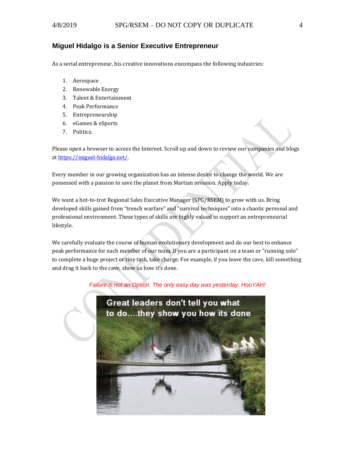#### <span id="page-3-0"></span>**Miguel Hidalgo is a Senior Executive Entrepreneur**

As a serial entrepreneur, his creative innovations encompass the following industries:

- 1. Aerospace
- 2. Renewable Energy
- 3. Talent & Entertainment
- 4. Peak Performance
- 5. Entrepreneurship
- 6. eGames & eSports
- 7. Politics.

Please open a browser to access the Internet. Scroll up and down to review our companies and blogs a[t https://miguel-hidalgo.net/.](https://miguel-hidalgo.net/)

Every member in our growing organization has an intense desire to change the world. We are possessed with a passion to save the planet from Martian invasion. Apply today.

We want a hot-to-trot Regional Sales Executive Manager (SPG/RSEM) to grow with us. Bring developed skills gained from "trench warfare" and "survival techniques" into a chaotic personal and professional environment. These types of skills are highly valued to support an entrepreneurial lifestyle.

We carefully evaluate the course of human evolutionary development and do our best to enhance peak performance for each member of our team. If you are a participant on a team or "running solo" to complete a huge project or tiny task, take charge. For example, if you leave the cave, kill something and drag it back to the cave, show us how it's done.



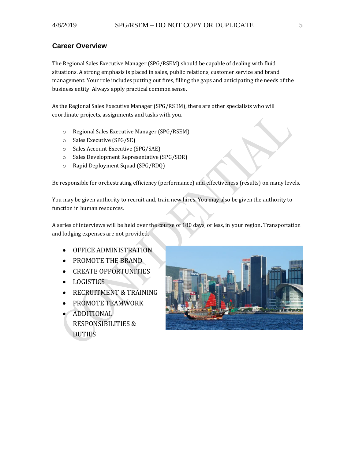#### <span id="page-4-0"></span>**Career Overview**

The Regional Sales Executive Manager (SPG/RSEM) should be capable of dealing with fluid situations. A strong emphasis is placed in sales, public relations, customer service and brand management. Your role includes putting out fires, filling the gaps and anticipating the needs of the business entity. Always apply practical common sense.

As the Regional Sales Executive Manager (SPG/RSEM), there are other specialists who will coordinate projects, assignments and tasks with you.

- o Regional Sales Executive Manager (SPG/RSEM)
- o Sales Executive (SPG/SE)
- o Sales Account Executive (SPG/SAE)
- o Sales Development Representative (SPG/SDR)
- o Rapid Deployment Squad (SPG/RDQ)

Be responsible for orchestrating efficiency (performance) and effectiveness (results) on many levels.

You may be given authority to recruit and, train new hires. You may also be given the authority to function in human resources.

A series of interviews will be held over the course of 180 days, or less, in your region. Transportation and lodging expenses are not provided.

- OFFICE ADMINISTRATION
- PROMOTE THE BRAND
- CREATE OPPORTUNITIES
- LOGISTICS
- RECRUITMENT & TRAINING
- PROMOTE TEAMWORK
- ADDITIONAL RESPONSIBILITIES & DUTIES

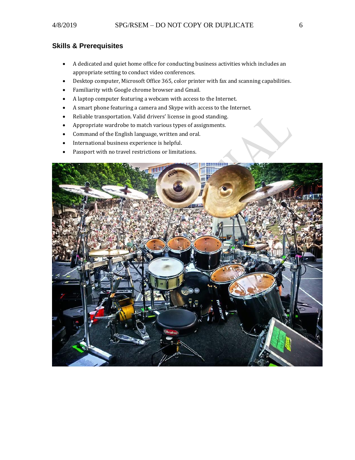### <span id="page-5-0"></span>**Skills & Prerequisites**

- A dedicated and quiet home office for conducting business activities which includes an appropriate setting to conduct video conferences.
- Desktop computer, Microsoft Office 365, color printer with fax and scanning capabilities.
- Familiarity with Google chrome browser and Gmail.
- A laptop computer featuring a webcam with access to the Internet.
- A smart phone featuring a camera and Skype with access to the Internet.
- Reliable transportation. Valid drivers' license in good standing.
- Appropriate wardrobe to match various types of assignments.
- Command of the English language, written and oral.
- International business experience is helpful.
- Passport with no travel restrictions or limitations.

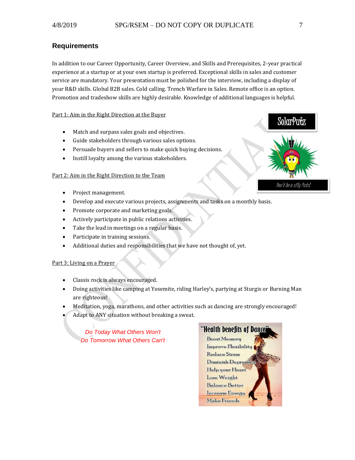#### <span id="page-6-0"></span>**Requirements**

In addition to our Career Opportunity, Career Overview, and Skills and Prerequisites, 2-year practical experience at a startup or at your own startup is preferred. Exceptional skills in sales and customer service are mandatory. Your presentation must be polished for the interview, including a display of your R&D skills. Global B2B sales. Cold calling. Trench Warfare in Sales. Remote office is an option. Promotion and tradeshow skills are highly desirable. Knowledge of additional languages is helpful.

#### Part 1: Aim in the Right Direction at the Buyer

- Match and surpass sales goals and objectives.
- Guide stakeholders through various sales options.
- Persuade buyers and sellers to make quick buying decisions.
- Instill loyalty among the various stakeholders.

#### Part 2: Aim in the Right Direction to the Team

- Project management.
- Develop and execute various projects, assignments and tasks on a monthly basis.
- Promote corporate and marketing goals.
- Actively participate in public relations activities.
- Take the lead in meetings on a regular basis.
- Participate in training sessions.
- Additional duties and responsibilities that we have not thought of, yet.

#### Part 3: Living on a Prayer

- Classis rock is always encouraged.
- Doing activities like camping at Yosemite, riding Harley's, partying at Sturgis or Burning Man are righteous!
- Meditation, yoga, marathons, and other activities such as dancing are strongly encouraged!
- Adapt to ANY situation without breaking a sweat.

*Do Today What Others Won't Do Tomorrow What Others Can't* 



SolarPutz Don't be a silly Putz!